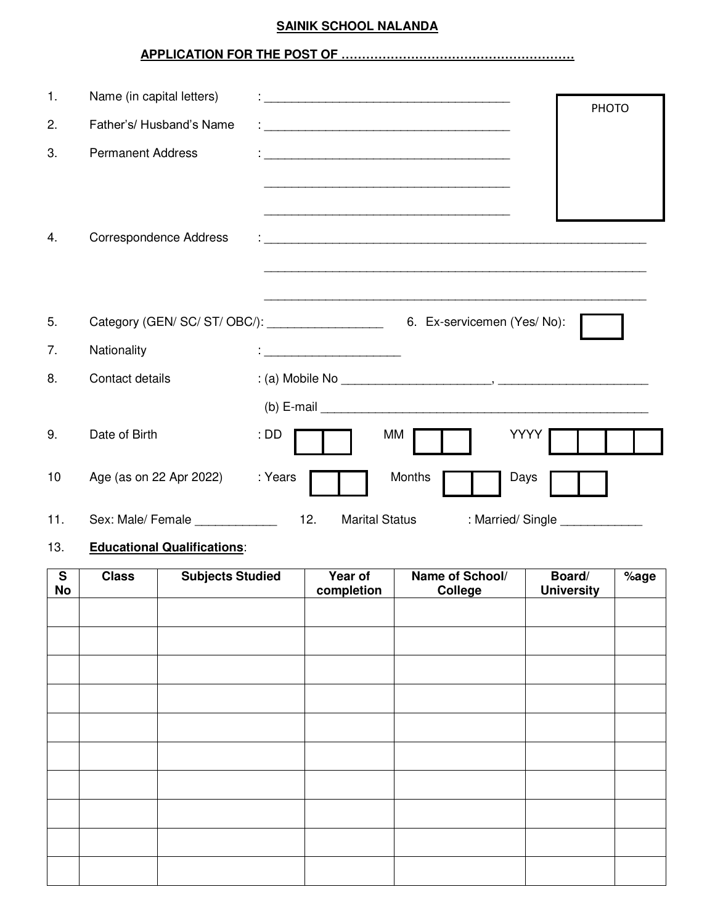### **SAINIK SCHOOL NALANDA**

# **APPLICATION FOR THE POST OF …………………………………………………**

| 1.  | Name (in capital letters)     |                                                                              |              |
|-----|-------------------------------|------------------------------------------------------------------------------|--------------|
| 2.  | Father's/ Husband's Name      |                                                                              | <b>PHOTO</b> |
| 3.  | <b>Permanent Address</b>      |                                                                              |              |
|     |                               |                                                                              |              |
|     |                               |                                                                              |              |
| 4.  | <b>Correspondence Address</b> |                                                                              |              |
|     |                               |                                                                              |              |
| 5.  |                               | Category (GEN/ SC/ ST/ OBC/): ___________________6. Ex-servicemen (Yes/ No): |              |
| 7.  | Nationality                   | <u> 1989 - Johann Barbara, martxa al III-lea</u>                             |              |
| 8.  | Contact details               |                                                                              |              |
|     |                               |                                                                              |              |
| 9.  | Date of Birth                 | YYYY<br>: DD<br>МM                                                           |              |
| 10  | Age (as on 22 Apr 2022)       | : Years<br>Months<br>Days                                                    |              |
| 11. | Sex: Male/ Female             | 12.<br><b>Marital Status</b><br>: Married/Single                             |              |

## 13. **Educational Qualifications**:

| $\overline{\mathbf{s}}$<br>No | <b>Class</b> | <b>Subjects Studied</b> | Year of<br>completion | Name of School/<br>College | Board/<br><b>University</b> | %age |
|-------------------------------|--------------|-------------------------|-----------------------|----------------------------|-----------------------------|------|
|                               |              |                         |                       |                            |                             |      |
|                               |              |                         |                       |                            |                             |      |
|                               |              |                         |                       |                            |                             |      |
|                               |              |                         |                       |                            |                             |      |
|                               |              |                         |                       |                            |                             |      |
|                               |              |                         |                       |                            |                             |      |
|                               |              |                         |                       |                            |                             |      |
|                               |              |                         |                       |                            |                             |      |
|                               |              |                         |                       |                            |                             |      |
|                               |              |                         |                       |                            |                             |      |